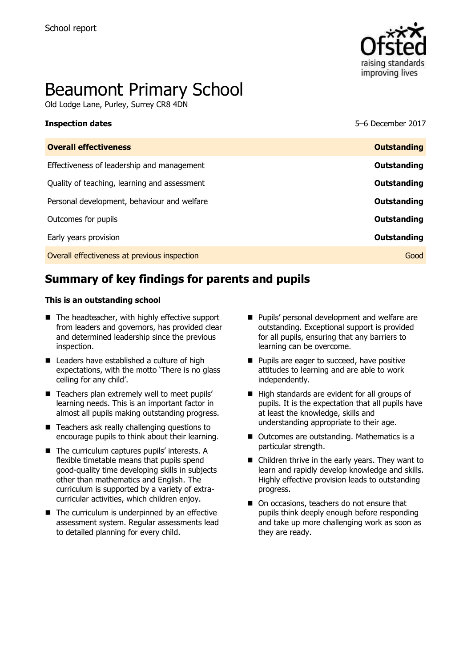

# Beaumont Primary School

Old Lodge Lane, Purley, Surrey CR8 4DN

| <b>Overall effectiveness</b>                 | <b>Outstanding</b> |
|----------------------------------------------|--------------------|
| Effectiveness of leadership and management   | Outstanding        |
| Quality of teaching, learning and assessment | Outstanding        |
| Personal development, behaviour and welfare  | Outstanding        |
| Outcomes for pupils                          | Outstanding        |
| Early years provision                        | Outstanding        |
| Overall effectiveness at previous inspection | Good               |

**Inspection dates** 5–6 December 2017

# **Summary of key findings for parents and pupils**

#### **This is an outstanding school**

- The headteacher, with highly effective support from leaders and governors, has provided clear and determined leadership since the previous inspection.
- Leaders have established a culture of high expectations, with the motto 'There is no glass ceiling for any child'.
- Teachers plan extremely well to meet pupils' learning needs. This is an important factor in almost all pupils making outstanding progress.
- Teachers ask really challenging questions to encourage pupils to think about their learning.
- The curriculum captures pupils' interests. A flexible timetable means that pupils spend good-quality time developing skills in subjects other than mathematics and English. The curriculum is supported by a variety of extracurricular activities, which children enjoy.
- $\blacksquare$  The curriculum is underpinned by an effective assessment system. Regular assessments lead to detailed planning for every child.
- **Pupils' personal development and welfare are** outstanding. Exceptional support is provided for all pupils, ensuring that any barriers to learning can be overcome.
- **Pupils are eager to succeed, have positive** attitudes to learning and are able to work independently.
- High standards are evident for all groups of pupils. It is the expectation that all pupils have at least the knowledge, skills and understanding appropriate to their age.
- Outcomes are outstanding. Mathematics is a particular strength.
- Children thrive in the early years. They want to learn and rapidly develop knowledge and skills. Highly effective provision leads to outstanding progress.
- On occasions, teachers do not ensure that pupils think deeply enough before responding and take up more challenging work as soon as they are ready.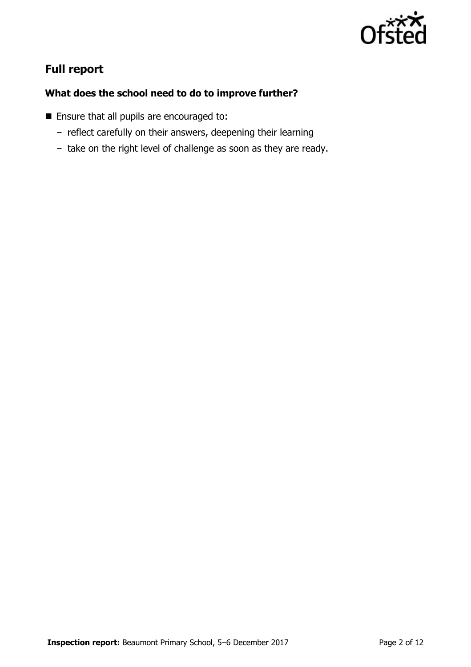

# **Full report**

### **What does the school need to do to improve further?**

- **Ensure that all pupils are encouraged to:** 
	- reflect carefully on their answers, deepening their learning
	- take on the right level of challenge as soon as they are ready.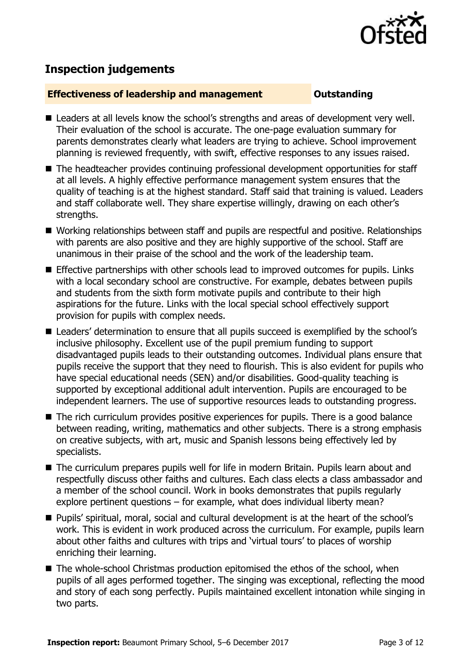

# **Inspection judgements**

#### **Effectiveness of leadership and management Constanding**

- Leaders at all levels know the school's strengths and areas of development very well. Their evaluation of the school is accurate. The one-page evaluation summary for parents demonstrates clearly what leaders are trying to achieve. School improvement planning is reviewed frequently, with swift, effective responses to any issues raised.
- The headteacher provides continuing professional development opportunities for staff at all levels. A highly effective performance management system ensures that the quality of teaching is at the highest standard. Staff said that training is valued. Leaders and staff collaborate well. They share expertise willingly, drawing on each other's strengths.
- Working relationships between staff and pupils are respectful and positive. Relationships with parents are also positive and they are highly supportive of the school. Staff are unanimous in their praise of the school and the work of the leadership team.
- **Effective partnerships with other schools lead to improved outcomes for pupils. Links** with a local secondary school are constructive. For example, debates between pupils and students from the sixth form motivate pupils and contribute to their high aspirations for the future. Links with the local special school effectively support provision for pupils with complex needs.
- Leaders' determination to ensure that all pupils succeed is exemplified by the school's inclusive philosophy. Excellent use of the pupil premium funding to support disadvantaged pupils leads to their outstanding outcomes. Individual plans ensure that pupils receive the support that they need to flourish. This is also evident for pupils who have special educational needs (SEN) and/or disabilities. Good-quality teaching is supported by exceptional additional adult intervention. Pupils are encouraged to be independent learners. The use of supportive resources leads to outstanding progress.
- The rich curriculum provides positive experiences for pupils. There is a good balance between reading, writing, mathematics and other subjects. There is a strong emphasis on creative subjects, with art, music and Spanish lessons being effectively led by specialists.
- The curriculum prepares pupils well for life in modern Britain. Pupils learn about and respectfully discuss other faiths and cultures. Each class elects a class ambassador and a member of the school council. Work in books demonstrates that pupils regularly explore pertinent questions – for example, what does individual liberty mean?
- Pupils' spiritual, moral, social and cultural development is at the heart of the school's work. This is evident in work produced across the curriculum. For example, pupils learn about other faiths and cultures with trips and 'virtual tours' to places of worship enriching their learning.
- The whole-school Christmas production epitomised the ethos of the school, when pupils of all ages performed together. The singing was exceptional, reflecting the mood and story of each song perfectly. Pupils maintained excellent intonation while singing in two parts.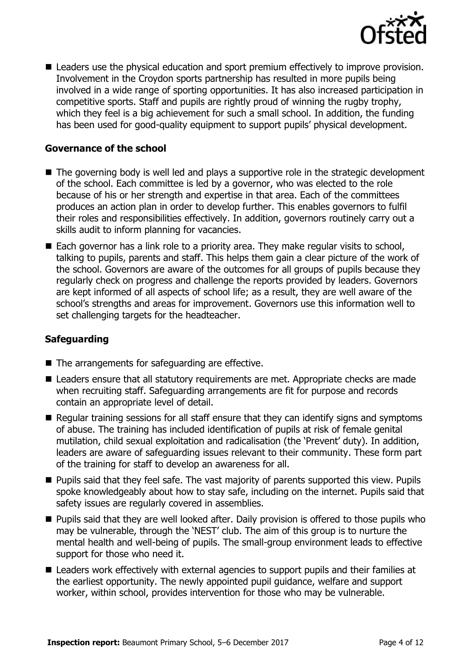

■ Leaders use the physical education and sport premium effectively to improve provision. Involvement in the Croydon sports partnership has resulted in more pupils being involved in a wide range of sporting opportunities. It has also increased participation in competitive sports. Staff and pupils are rightly proud of winning the rugby trophy, which they feel is a big achievement for such a small school. In addition, the funding has been used for good-quality equipment to support pupils' physical development.

#### **Governance of the school**

- The governing body is well led and plays a supportive role in the strategic development of the school. Each committee is led by a governor, who was elected to the role because of his or her strength and expertise in that area. Each of the committees produces an action plan in order to develop further. This enables governors to fulfil their roles and responsibilities effectively. In addition, governors routinely carry out a skills audit to inform planning for vacancies.
- Each governor has a link role to a priority area. They make regular visits to school, talking to pupils, parents and staff. This helps them gain a clear picture of the work of the school. Governors are aware of the outcomes for all groups of pupils because they regularly check on progress and challenge the reports provided by leaders. Governors are kept informed of all aspects of school life; as a result, they are well aware of the school's strengths and areas for improvement. Governors use this information well to set challenging targets for the headteacher.

#### **Safeguarding**

- The arrangements for safeguarding are effective.
- Leaders ensure that all statutory requirements are met. Appropriate checks are made when recruiting staff. Safeguarding arrangements are fit for purpose and records contain an appropriate level of detail.
- Regular training sessions for all staff ensure that they can identify signs and symptoms of abuse. The training has included identification of pupils at risk of female genital mutilation, child sexual exploitation and radicalisation (the 'Prevent' duty). In addition, leaders are aware of safeguarding issues relevant to their community. These form part of the training for staff to develop an awareness for all.
- **Pupils said that they feel safe. The vast majority of parents supported this view. Pupils** spoke knowledgeably about how to stay safe, including on the internet. Pupils said that safety issues are regularly covered in assemblies.
- **Pupils said that they are well looked after. Daily provision is offered to those pupils who** may be vulnerable, through the 'NEST' club. The aim of this group is to nurture the mental health and well-being of pupils. The small-group environment leads to effective support for those who need it.
- Leaders work effectively with external agencies to support pupils and their families at the earliest opportunity. The newly appointed pupil guidance, welfare and support worker, within school, provides intervention for those who may be vulnerable.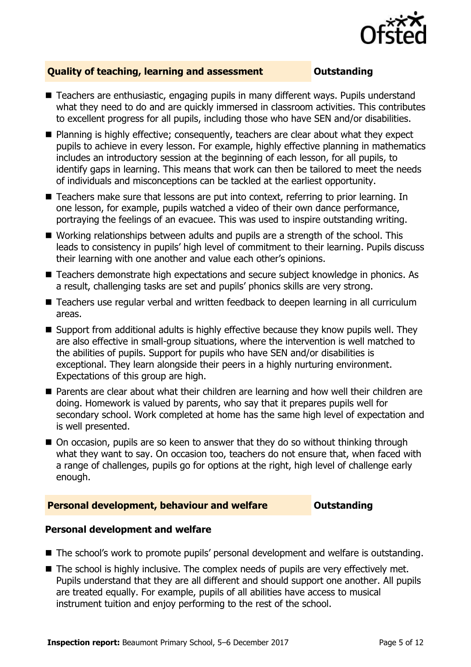

### **Quality of teaching, learning and assessment Outstanding**

- Teachers are enthusiastic, engaging pupils in many different ways. Pupils understand what they need to do and are quickly immersed in classroom activities. This contributes to excellent progress for all pupils, including those who have SEN and/or disabilities.
- Planning is highly effective; consequently, teachers are clear about what they expect pupils to achieve in every lesson. For example, highly effective planning in mathematics includes an introductory session at the beginning of each lesson, for all pupils, to identify gaps in learning. This means that work can then be tailored to meet the needs of individuals and misconceptions can be tackled at the earliest opportunity.
- Teachers make sure that lessons are put into context, referring to prior learning. In one lesson, for example, pupils watched a video of their own dance performance, portraying the feelings of an evacuee. This was used to inspire outstanding writing.
- Working relationships between adults and pupils are a strength of the school. This leads to consistency in pupils' high level of commitment to their learning. Pupils discuss their learning with one another and value each other's opinions.
- Teachers demonstrate high expectations and secure subject knowledge in phonics. As a result, challenging tasks are set and pupils' phonics skills are very strong.
- Teachers use regular verbal and written feedback to deepen learning in all curriculum areas.
- Support from additional adults is highly effective because they know pupils well. They are also effective in small-group situations, where the intervention is well matched to the abilities of pupils. Support for pupils who have SEN and/or disabilities is exceptional. They learn alongside their peers in a highly nurturing environment. Expectations of this group are high.
- **Parents are clear about what their children are learning and how well their children are** doing. Homework is valued by parents, who say that it prepares pupils well for secondary school. Work completed at home has the same high level of expectation and is well presented.
- On occasion, pupils are so keen to answer that they do so without thinking through what they want to say. On occasion too, teachers do not ensure that, when faced with a range of challenges, pupils go for options at the right, high level of challenge early enough.

#### **Personal development, behaviour and welfare <b>COULTS** Outstanding

#### **Personal development and welfare**

- The school's work to promote pupils' personal development and welfare is outstanding.
- The school is highly inclusive. The complex needs of pupils are very effectively met. Pupils understand that they are all different and should support one another. All pupils are treated equally. For example, pupils of all abilities have access to musical instrument tuition and enjoy performing to the rest of the school.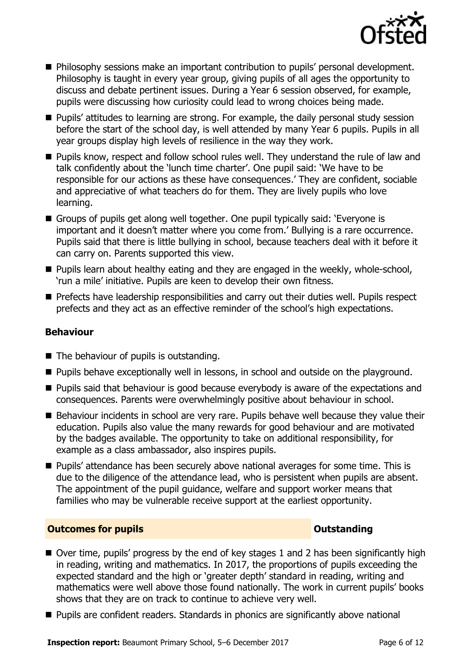

- **Philosophy sessions make an important contribution to pupils' personal development.** Philosophy is taught in every year group, giving pupils of all ages the opportunity to discuss and debate pertinent issues. During a Year 6 session observed, for example, pupils were discussing how curiosity could lead to wrong choices being made.
- **Pupils' attitudes to learning are strong. For example, the daily personal study session** before the start of the school day, is well attended by many Year 6 pupils. Pupils in all year groups display high levels of resilience in the way they work.
- **Pupils know, respect and follow school rules well. They understand the rule of law and** talk confidently about the 'lunch time charter'. One pupil said: 'We have to be responsible for our actions as these have consequences.' They are confident, sociable and appreciative of what teachers do for them. They are lively pupils who love learning.
- Groups of pupils get along well together. One pupil typically said: 'Everyone is important and it doesn't matter where you come from.' Bullying is a rare occurrence. Pupils said that there is little bullying in school, because teachers deal with it before it can carry on. Parents supported this view.
- **Pupils learn about healthy eating and they are engaged in the weekly, whole-school,** 'run a mile' initiative. Pupils are keen to develop their own fitness.
- **Prefects have leadership responsibilities and carry out their duties well. Pupils respect** prefects and they act as an effective reminder of the school's high expectations.

### **Behaviour**

- The behaviour of pupils is outstanding.
- **Pupils behave exceptionally well in lessons, in school and outside on the playground.**
- **Pupils said that behaviour is good because everybody is aware of the expectations and** consequences. Parents were overwhelmingly positive about behaviour in school.
- Behaviour incidents in school are very rare. Pupils behave well because they value their education. Pupils also value the many rewards for good behaviour and are motivated by the badges available. The opportunity to take on additional responsibility, for example as a class ambassador, also inspires pupils.
- **Pupils' attendance has been securely above national averages for some time. This is** due to the diligence of the attendance lead, who is persistent when pupils are absent. The appointment of the pupil guidance, welfare and support worker means that families who may be vulnerable receive support at the earliest opportunity.

### **Outcomes for pupils Outstanding**

- $\blacksquare$  Over time, pupils' progress by the end of key stages 1 and 2 has been significantly high in reading, writing and mathematics. In 2017, the proportions of pupils exceeding the expected standard and the high or 'greater depth' standard in reading, writing and mathematics were well above those found nationally. The work in current pupils' books shows that they are on track to continue to achieve very well.
- Pupils are confident readers. Standards in phonics are significantly above national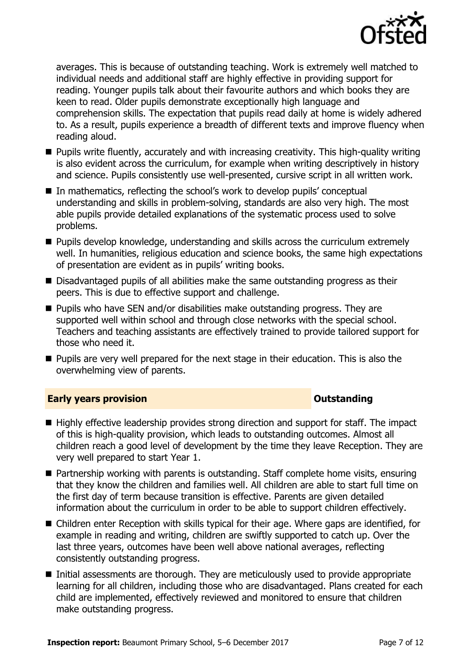

averages. This is because of outstanding teaching. Work is extremely well matched to individual needs and additional staff are highly effective in providing support for reading. Younger pupils talk about their favourite authors and which books they are keen to read. Older pupils demonstrate exceptionally high language and comprehension skills. The expectation that pupils read daily at home is widely adhered to. As a result, pupils experience a breadth of different texts and improve fluency when reading aloud.

- **Pupils write fluently, accurately and with increasing creativity. This high-quality writing** is also evident across the curriculum, for example when writing descriptively in history and science. Pupils consistently use well-presented, cursive script in all written work.
- In mathematics, reflecting the school's work to develop pupils' conceptual understanding and skills in problem-solving, standards are also very high. The most able pupils provide detailed explanations of the systematic process used to solve problems.
- **Pupils develop knowledge, understanding and skills across the curriculum extremely** well. In humanities, religious education and science books, the same high expectations of presentation are evident as in pupils' writing books.
- Disadvantaged pupils of all abilities make the same outstanding progress as their peers. This is due to effective support and challenge.
- **Pupils who have SEN and/or disabilities make outstanding progress. They are** supported well within school and through close networks with the special school. Teachers and teaching assistants are effectively trained to provide tailored support for those who need it.
- **Pupils are very well prepared for the next stage in their education. This is also the** overwhelming view of parents.

#### **Early years provision CONSTANDING TO A RESERVE THE SERVE TO A RESERVE THE SERVE TO A RESERVE THE SERVE TO A RESERVE THE SERVE TO A RESERVE THE SERVE TO A RESERVE THE SERVE TO A RESERVE THE SERVE TO A RESERVE THE SERVE T**

- Highly effective leadership provides strong direction and support for staff. The impact of this is high-quality provision, which leads to outstanding outcomes. Almost all children reach a good level of development by the time they leave Reception. They are very well prepared to start Year 1.
- Partnership working with parents is outstanding. Staff complete home visits, ensuring that they know the children and families well. All children are able to start full time on the first day of term because transition is effective. Parents are given detailed information about the curriculum in order to be able to support children effectively.
- Children enter Reception with skills typical for their age. Where gaps are identified, for example in reading and writing, children are swiftly supported to catch up. Over the last three years, outcomes have been well above national averages, reflecting consistently outstanding progress.
- Initial assessments are thorough. They are meticulously used to provide appropriate learning for all children, including those who are disadvantaged. Plans created for each child are implemented, effectively reviewed and monitored to ensure that children make outstanding progress.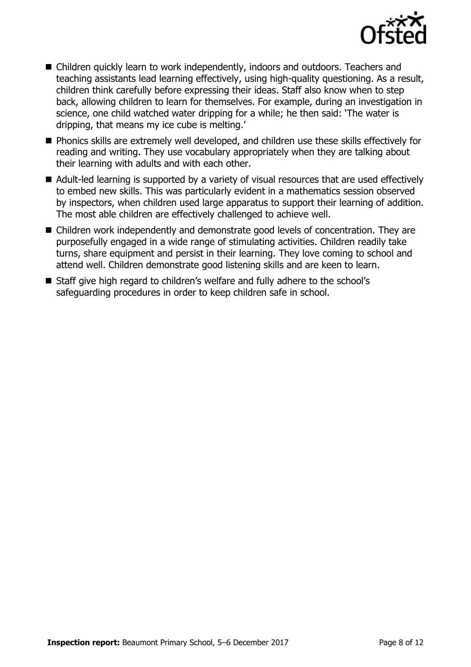

- Children quickly learn to work independently, indoors and outdoors. Teachers and teaching assistants lead learning effectively, using high-quality questioning. As a result, children think carefully before expressing their ideas. Staff also know when to step back, allowing children to learn for themselves. For example, during an investigation in science, one child watched water dripping for a while; he then said: 'The water is dripping, that means my ice cube is melting.'
- **Phonics skills are extremely well developed, and children use these skills effectively for** reading and writing. They use vocabulary appropriately when they are talking about their learning with adults and with each other.
- Adult-led learning is supported by a variety of visual resources that are used effectively to embed new skills. This was particularly evident in a mathematics session observed by inspectors, when children used large apparatus to support their learning of addition. The most able children are effectively challenged to achieve well.
- Children work independently and demonstrate good levels of concentration. They are purposefully engaged in a wide range of stimulating activities. Children readily take turns, share equipment and persist in their learning. They love coming to school and attend well. Children demonstrate good listening skills and are keen to learn.
- Staff give high regard to children's welfare and fully adhere to the school's safeguarding procedures in order to keep children safe in school.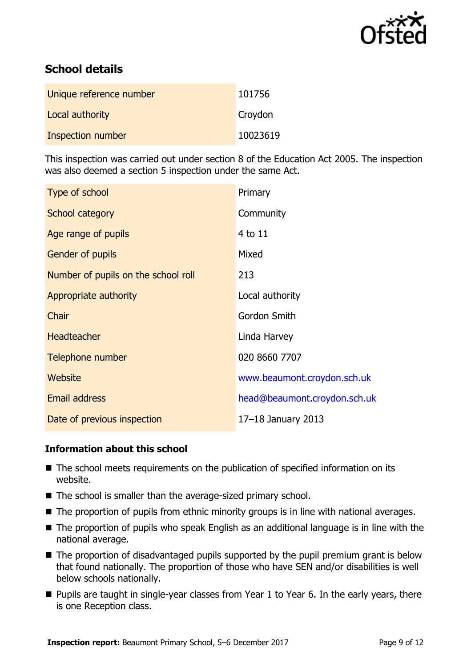

# **School details**

| Unique reference number | 101756   |
|-------------------------|----------|
| Local authority         | Croydon  |
| Inspection number       | 10023619 |

This inspection was carried out under section 8 of the Education Act 2005. The inspection was also deemed a section 5 inspection under the same Act.

| Type of school                      | Primary                      |
|-------------------------------------|------------------------------|
| School category                     | Community                    |
| Age range of pupils                 | 4 to 11                      |
| <b>Gender of pupils</b>             | Mixed                        |
| Number of pupils on the school roll | 213                          |
| Appropriate authority               | Local authority              |
| Chair                               | Gordon Smith                 |
| <b>Headteacher</b>                  | Linda Harvey                 |
| Telephone number                    | 020 8660 7707                |
| Website                             | www.beaumont.croydon.sch.uk  |
| Email address                       | head@beaumont.croydon.sch.uk |
| Date of previous inspection         | 17-18 January 2013           |

#### **Information about this school**

- The school meets requirements on the publication of specified information on its website.
- The school is smaller than the average-sized primary school.
- The proportion of pupils from ethnic minority groups is in line with national averages.
- The proportion of pupils who speak English as an additional language is in line with the national average.
- The proportion of disadvantaged pupils supported by the pupil premium grant is below that found nationally. The proportion of those who have SEN and/or disabilities is well below schools nationally.
- **Pupils are taught in single-year classes from Year 1 to Year 6. In the early years, there** is one Reception class.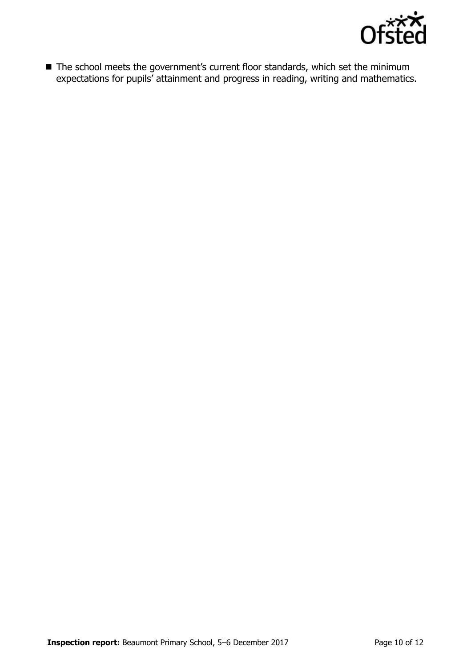

■ The school meets the government's current floor standards, which set the minimum expectations for pupils' attainment and progress in reading, writing and mathematics.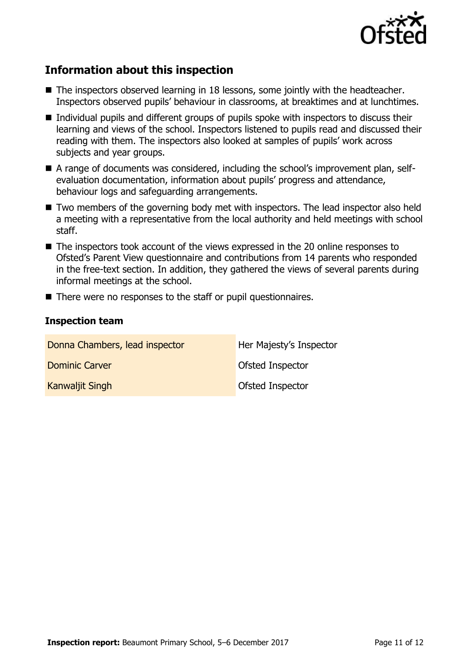

## **Information about this inspection**

- The inspectors observed learning in 18 lessons, some jointly with the headteacher. Inspectors observed pupils' behaviour in classrooms, at breaktimes and at lunchtimes.
- Individual pupils and different groups of pupils spoke with inspectors to discuss their learning and views of the school. Inspectors listened to pupils read and discussed their reading with them. The inspectors also looked at samples of pupils' work across subjects and year groups.
- A range of documents was considered, including the school's improvement plan, selfevaluation documentation, information about pupils' progress and attendance, behaviour logs and safeguarding arrangements.
- Two members of the governing body met with inspectors. The lead inspector also held a meeting with a representative from the local authority and held meetings with school staff.
- The inspectors took account of the views expressed in the 20 online responses to Ofsted's Parent View questionnaire and contributions from 14 parents who responded in the free-text section. In addition, they gathered the views of several parents during informal meetings at the school.
- There were no responses to the staff or pupil questionnaires.

#### **Inspection team**

| Donna Chambers, lead inspector | Her Majesty's Inspector |
|--------------------------------|-------------------------|
| Dominic Carver                 | <b>Ofsted Inspector</b> |
| Kanwaljit Singh                | <b>Ofsted Inspector</b> |